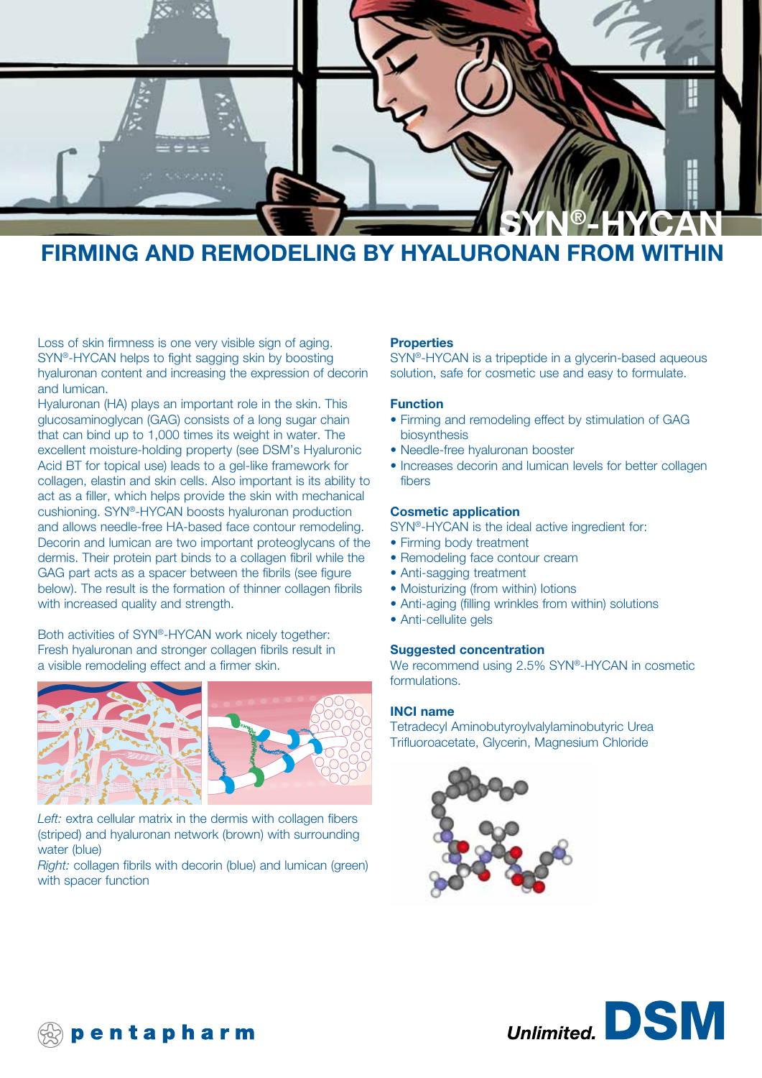

# **FIRMING AND REMODELING BY HYALURONAN FROM WITHIN**

Loss of skin firmness is one very visible sign of aging. SYN®-HYCAN helps to fight sagging skin by boosting hyaluronan content and increasing the expression of decorin and lumican.

Hyaluronan (HA) plays an important role in the skin. This glucosaminoglycan (GAG) consists of a long sugar chain that can bind up to 1,000 times its weight in water. The excellent moisture-holding property (see DSM's Hyaluronic Acid BT for topical use) leads to a gel-like framework for collagen, elastin and skin cells. Also important is its ability to act as a filler, which helps provide the skin with mechanical cushioning. SYN®-HYCAN boosts hyaluronan production and allows needle-free HA-based face contour remodeling. Decorin and lumican are two important proteoglycans of the dermis. Their protein part binds to a collagen fibril while the GAG part acts as a spacer between the fibrils (see figure below). The result is the formation of thinner collagen fibrils with increased quality and strength.

Both activities of SYN®-HYCAN work nicely together: Fresh hyaluronan and stronger collagen fibrils result in a visible remodeling effect and a firmer skin.





*Left:* extra cellular matrix in the dermis with collagen fibers (striped) and hyaluronan network (brown) with surrounding water (blue)

*Right:* collagen fibrils with decorin (blue) and lumican (green) with spacer function

#### **Properties**

SYN®-HYCAN is a tripeptide in a glycerin-based aqueous solution, safe for cosmetic use and easy to formulate.

#### **Function**

- Firming and remodeling effect by stimulation of GAG biosynthesis
- Needle-free hyaluronan booster
- Increases decorin and lumican levels for better collagen fibers

#### **Cosmetic application**

SYN®-HYCAN is the ideal active ingredient for:

- Firming body treatment
- Remodeling face contour cream
- Anti-sagging treatment
- Moisturizing (from within) lotions
- Anti-aging (filling wrinkles from within) solutions
- Anti-cellulite gels

#### **Suggested concentration**

We recommend using 2.5% SYN®-HYCAN in cosmetic formulations.

#### **INCI name**

Tetradecyl Aminobutyroylvalylaminobutyric Urea Trifluoroacetate, Glycerin, Magnesium Chloride